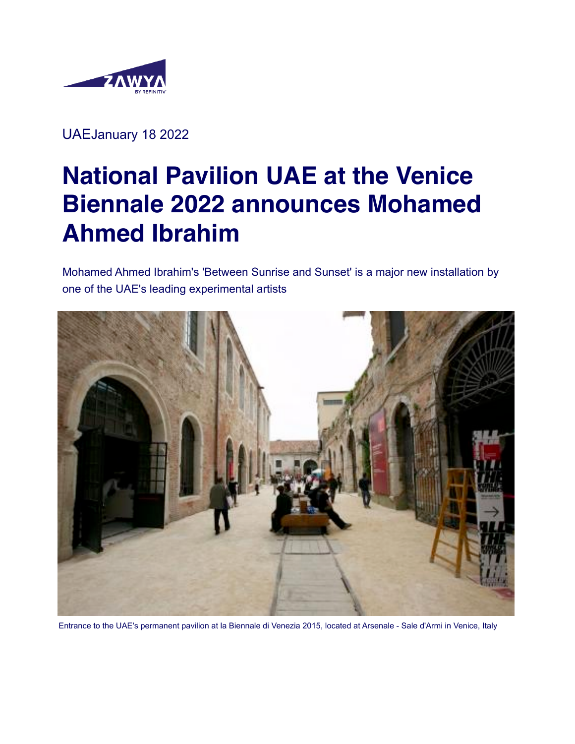

UAEJanuary 18 2022

# **National Pavilion UAE at the Venice Biennale 2022 announces Mohamed Ahmed Ibrahim**

Mohamed Ahmed Ibrahim's 'Between Sunrise and Sunset' is a major new installation by one of the UAE's leading experimental artists



Entrance to the UAE's permanent pavilion at la Biennale di Venezia 2015, located at Arsenale - Sale d'Armi in Venice, Italy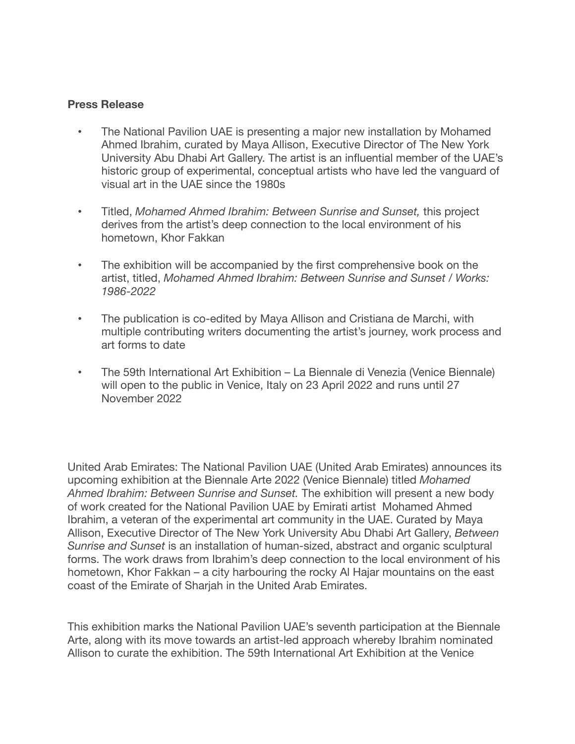#### **Press Release**

- The National Pavilion UAE is presenting a major new installation by Mohamed Ahmed Ibrahim, curated by Maya Allison, Executive Director of The New York University Abu Dhabi Art Gallery. The artist is an influential member of the UAE's historic group of experimental, conceptual artists who have led the vanguard of visual art in the UAE since the 1980s
- Titled, *Mohamed Ahmed Ibrahim: Between Sunrise and Sunset,* this project derives from the artist's deep connection to the local environment of his hometown, Khor Fakkan
- The exhibition will be accompanied by the first comprehensive book on the artist, titled, *Mohamed Ahmed Ibrahim: Between Sunrise and Sunset / Works: 1986-2022*
- The publication is co-edited by Maya Allison and Cristiana de Marchi, with multiple contributing writers documenting the artist's journey, work process and art forms to date
- The 59th International Art Exhibition La Biennale di Venezia (Venice Biennale) will open to the public in Venice, Italy on 23 April 2022 and runs until 27 November 2022

United Arab Emirates: The National Pavilion UAE (United Arab Emirates) announces its upcoming exhibition at the Biennale Arte 2022 (Venice Biennale) titled *Mohamed Ahmed Ibrahim: Between Sunrise and Sunset.* The exhibition will present a new body of work created for the National Pavilion UAE by Emirati artist Mohamed Ahmed Ibrahim, a veteran of the experimental art community in the UAE. Curated by Maya Allison, Executive Director of The New York University Abu Dhabi Art Gallery, *Between Sunrise and Sunset* is an installation of human-sized, abstract and organic sculptural forms. The work draws from Ibrahim's deep connection to the local environment of his hometown, Khor Fakkan – a city harbouring the rocky Al Hajar mountains on the east coast of the Emirate of Sharjah in the United Arab Emirates.

This exhibition marks the National Pavilion UAE's seventh participation at the Biennale Arte, along with its move towards an artist-led approach whereby Ibrahim nominated Allison to curate the exhibition. The 59th International Art Exhibition at the Venice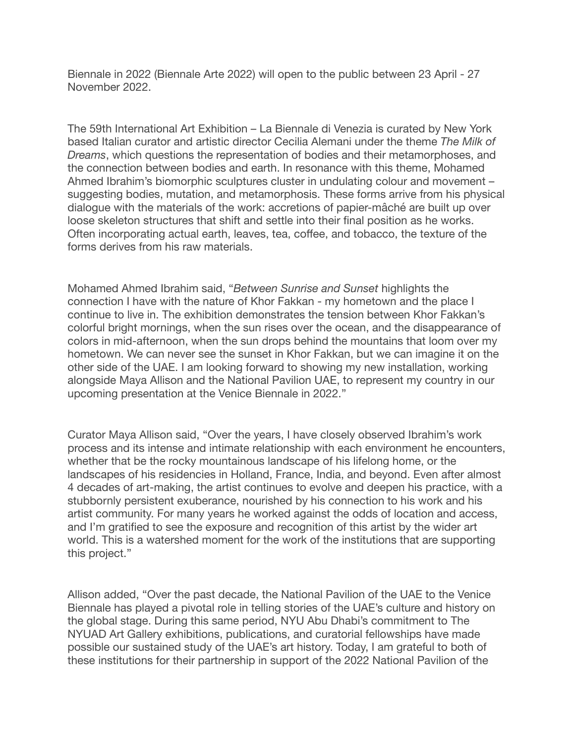Biennale in 2022 (Biennale Arte 2022) will open to the public between 23 April - 27 November 2022.

The 59th International Art Exhibition – La Biennale di Venezia is curated by New York based Italian curator and artistic director Cecilia Alemani under the theme *The Milk of Dreams*, which questions the representation of bodies and their metamorphoses, and the connection between bodies and earth. In resonance with this theme, Mohamed Ahmed Ibrahim's biomorphic sculptures cluster in undulating colour and movement – suggesting bodies, mutation, and metamorphosis. These forms arrive from his physical dialogue with the materials of the work: accretions of papier-mâché are built up over loose skeleton structures that shift and settle into their final position as he works. Often incorporating actual earth, leaves, tea, coffee, and tobacco, the texture of the forms derives from his raw materials.

Mohamed Ahmed Ibrahim said, "*Between Sunrise and Sunset* highlights the connection I have with the nature of Khor Fakkan - my hometown and the place I continue to live in. The exhibition demonstrates the tension between Khor Fakkan's colorful bright mornings, when the sun rises over the ocean, and the disappearance of colors in mid-afternoon, when the sun drops behind the mountains that loom over my hometown. We can never see the sunset in Khor Fakkan, but we can imagine it on the other side of the UAE. I am looking forward to showing my new installation, working alongside Maya Allison and the National Pavilion UAE, to represent my country in our upcoming presentation at the Venice Biennale in 2022."

Curator Maya Allison said, "Over the years, I have closely observed Ibrahim's work process and its intense and intimate relationship with each environment he encounters, whether that be the rocky mountainous landscape of his lifelong home, or the landscapes of his residencies in Holland, France, India, and beyond. Even after almost 4 decades of art-making, the artist continues to evolve and deepen his practice, with a stubbornly persistent exuberance, nourished by his connection to his work and his artist community. For many years he worked against the odds of location and access, and I'm gratified to see the exposure and recognition of this artist by the wider art world. This is a watershed moment for the work of the institutions that are supporting this project."

Allison added, "Over the past decade, the National Pavilion of the UAE to the Venice Biennale has played a pivotal role in telling stories of the UAE's culture and history on the global stage. During this same period, NYU Abu Dhabi's commitment to The NYUAD Art Gallery exhibitions, publications, and curatorial fellowships have made possible our sustained study of the UAE's art history. Today, I am grateful to both of these institutions for their partnership in support of the 2022 National Pavilion of the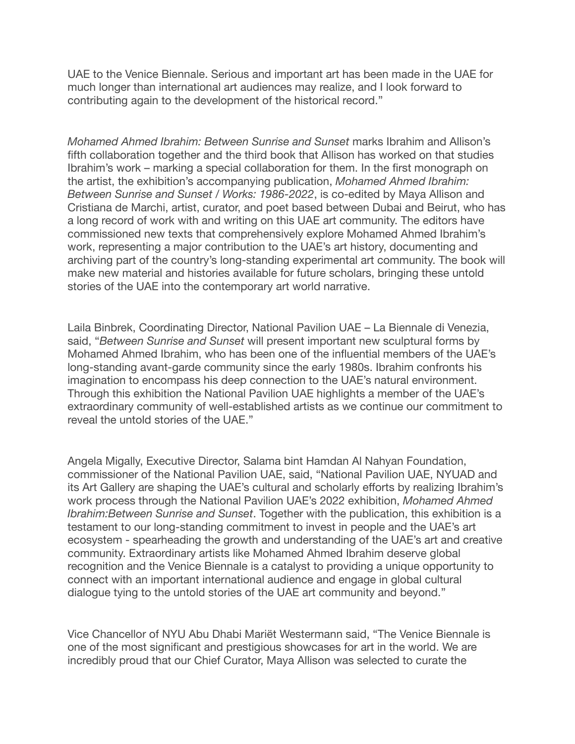UAE to the Venice Biennale. Serious and important art has been made in the UAE for much longer than international art audiences may realize, and I look forward to contributing again to the development of the historical record."

*Mohamed Ahmed Ibrahim: Between Sunrise and Sunset* marks Ibrahim and Allison's fifth collaboration together and the third book that Allison has worked on that studies Ibrahim's work – marking a special collaboration for them. In the first monograph on the artist, the exhibition's accompanying publication, *Mohamed Ahmed Ibrahim: Between Sunrise and Sunset / Works: 1986-2022*, is co-edited by Maya Allison and Cristiana de Marchi, artist, curator, and poet based between Dubai and Beirut, who has a long record of work with and writing on this UAE art community. The editors have commissioned new texts that comprehensively explore Mohamed Ahmed Ibrahim's work, representing a major contribution to the UAE's art history, documenting and archiving part of the country's long-standing experimental art community. The book will make new material and histories available for future scholars, bringing these untold stories of the UAE into the contemporary art world narrative.

Laila Binbrek, Coordinating Director, National Pavilion UAE – La Biennale di Venezia, said, "*Between Sunrise and Sunset* will present important new sculptural forms by Mohamed Ahmed Ibrahim, who has been one of the influential members of the UAE's long-standing avant-garde community since the early 1980s. Ibrahim confronts his imagination to encompass his deep connection to the UAE's natural environment. Through this exhibition the National Pavilion UAE highlights a member of the UAE's extraordinary community of well-established artists as we continue our commitment to reveal the untold stories of the UAE."

Angela Migally, Executive Director, Salama bint Hamdan Al Nahyan Foundation, commissioner of the National Pavilion UAE, said, "National Pavilion UAE, NYUAD and its Art Gallery are shaping the UAE's cultural and scholarly efforts by realizing Ibrahim's work process through the National Pavilion UAE's 2022 exhibition, *Mohamed Ahmed Ibrahim:Between Sunrise and Sunset*. Together with the publication, this exhibition is a testament to our long-standing commitment to invest in people and the UAE's art ecosystem - spearheading the growth and understanding of the UAE's art and creative community. Extraordinary artists like Mohamed Ahmed Ibrahim deserve global recognition and the Venice Biennale is a catalyst to providing a unique opportunity to connect with an important international audience and engage in global cultural dialogue tying to the untold stories of the UAE art community and beyond."

Vice Chancellor of NYU Abu Dhabi Mariët Westermann said, "The Venice Biennale is one of the most significant and prestigious showcases for art in the world. We are incredibly proud that our Chief Curator, Maya Allison was selected to curate the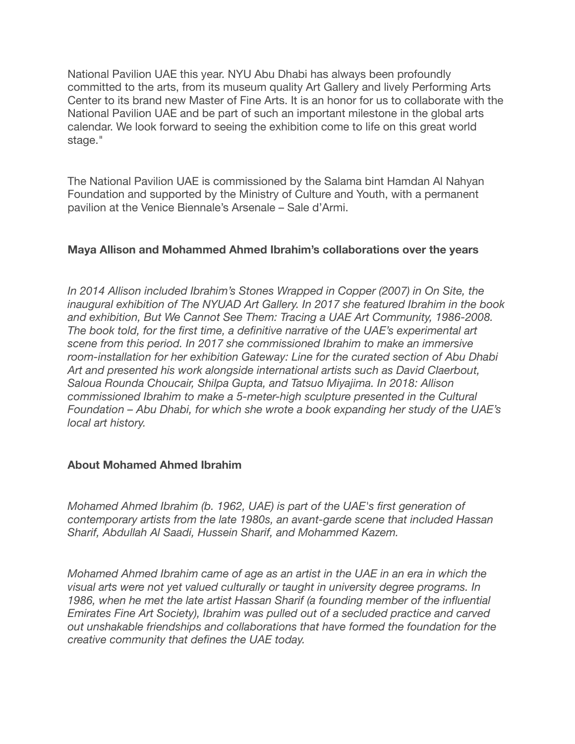National Pavilion UAE this year. NYU Abu Dhabi has always been profoundly committed to the arts, from its museum quality Art Gallery and lively Performing Arts Center to its brand new Master of Fine Arts. It is an honor for us to collaborate with the National Pavilion UAE and be part of such an important milestone in the global arts calendar. We look forward to seeing the exhibition come to life on this great world stage."

The National Pavilion UAE is commissioned by the Salama bint Hamdan Al Nahyan Foundation and supported by the Ministry of Culture and Youth, with a permanent pavilion at the Venice Biennale's Arsenale – Sale d'Armi.

## **Maya Allison and Mohammed Ahmed Ibrahim's collaborations over the years**

In 2014 Allison included Ibrahim's Stones Wrapped in Copper (2007) in On Site, the *inaugural exhibition of The NYUAD Art Gallery. In 2017 she featured Ibrahim in the book*  and exhibition, But We Cannot See Them: Tracing a UAE Art Community, 1986-2008. *The book told, for the first time, a definitive narrative of the UAE's experimental art scene from this period. In 2017 she commissioned Ibrahim to make an immersive room-installation for her exhibition Gateway: Line for the curated section of Abu Dhabi Art and presented his work alongside international artists such as David Claerbout, Saloua Rounda Choucair, Shilpa Gupta, and Tatsuo Miyajima. In 2018: Allison commissioned Ibrahim to make a 5-meter-high sculpture presented in the Cultural Foundation – Abu Dhabi, for which she wrote a book expanding her study of the UAE's local art history.*

## **About Mohamed Ahmed Ibrahim**

*Mohamed Ahmed Ibrahim (b. 1962, UAE) is part of the UAE's first generation of contemporary artists from the late 1980s, an avant-garde scene that included Hassan Sharif, Abdullah Al Saadi, Hussein Sharif, and Mohammed Kazem.*

*Mohamed Ahmed Ibrahim came of age as an artist in the UAE in an era in which the visual arts were not yet valued culturally or taught in university degree programs. In 1986, when he met the late artist Hassan Sharif (a founding member of the influential Emirates Fine Art Society), Ibrahim was pulled out of a secluded practice and carved out unshakable friendships and collaborations that have formed the foundation for the creative community that defines the UAE today.*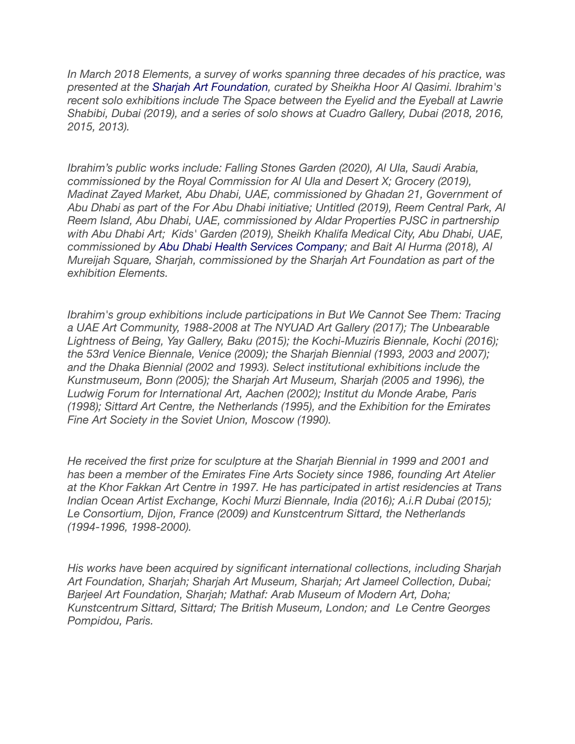*In March 2018 Elements, a survey of works spanning three decades of his practice, was presented at the [Sharjah Art Foundation,](https://www.zawya.com/mena/en/company/Sharjah_Art_Foundation-16037642/) curated by Sheikha Hoor Al Qasimi. Ibrahim's recent solo exhibitions include The Space between the Eyelid and the Eyeball at Lawrie Shabibi, Dubai (2019), and a series of solo shows at Cuadro Gallery, Dubai (2018, 2016, 2015, 2013).*

*Ibrahim's public works include: Falling Stones Garden (2020), Al Ula, Saudi Arabia, commissioned by the Royal Commission for Al Ula and Desert X; Grocery (2019), Madinat Zayed Market, Abu Dhabi, UAE, commissioned by Ghadan 21, Government of Abu Dhabi as part of the For Abu Dhabi initiative; Untitled (2019), Reem Central Park, Al Reem Island, Abu Dhabi, UAE, commissioned by Aldar Properties PJSC in partnership with Abu Dhabi Art; Kids' Garden (2019), Sheikh Khalifa Medical City, Abu Dhabi, UAE, commissioned by [Abu Dhabi Health Services Company;](https://www.zawya.com/mena/en/company/Abu_Dhabi_Health_Services_Company_PSC-1003074/) and Bait Al Hurma (2018), Al Mureijah Square, Sharjah, commissioned by the Sharjah Art Foundation as part of the exhibition Elements.*

*Ibrahim's group exhibitions include participations in But We Cannot See Them: Tracing a UAE Art Community, 1988-2008 at The NYUAD Art Gallery (2017); The Unbearable Lightness of Being, Yay Gallery, Baku (2015); the Kochi-Muziris Biennale, Kochi (2016); the 53rd Venice Biennale, Venice (2009); the Sharjah Biennial (1993, 2003 and 2007); and the Dhaka Biennial (2002 and 1993). Select institutional exhibitions include the Kunstmuseum, Bonn (2005); the Sharjah Art Museum, Sharjah (2005 and 1996), the Ludwig Forum for International Art, Aachen (2002); Institut du Monde Arabe, Paris (1998); Sittard Art Centre, the Netherlands (1995), and the Exhibition for the Emirates Fine Art Society in the Soviet Union, Moscow (1990).*

*He received the first prize for sculpture at the Sharjah Biennial in 1999 and 2001 and has been a member of the Emirates Fine Arts Society since 1986, founding Art Atelier at the Khor Fakkan Art Centre in 1997. He has participated in artist residencies at Trans Indian Ocean Artist Exchange, Kochi Murzi Biennale, India (2016); A.i.R Dubai (2015); Le Consortium, Dijon, France (2009) and Kunstcentrum Sittard, the Netherlands (1994-1996, 1998-2000).*

*His works have been acquired by significant international collections, including Sharjah Art Foundation, Sharjah; Sharjah Art Museum, Sharjah; Art Jameel Collection, Dubai; Barjeel Art Foundation, Sharjah; Mathaf: Arab Museum of Modern Art, Doha; Kunstcentrum Sittard, Sittard; The British Museum, London; and Le Centre Georges Pompidou, Paris.*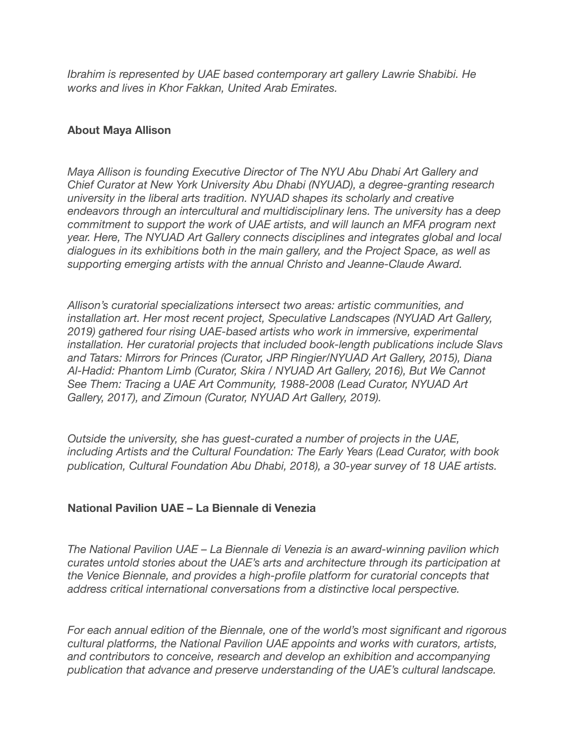*Ibrahim is represented by UAE based contemporary art gallery Lawrie Shabibi. He works and lives in Khor Fakkan, United Arab Emirates.*

## **About Maya Allison**

*Maya Allison is founding Executive Director of The NYU Abu Dhabi Art Gallery and Chief Curator at New York University Abu Dhabi (NYUAD), a degree-granting research university in the liberal arts tradition. NYUAD shapes its scholarly and creative endeavors through an intercultural and multidisciplinary lens. The university has a deep commitment to support the work of UAE artists, and will launch an MFA program next year. Here, The NYUAD Art Gallery connects disciplines and integrates global and local dialogues in its exhibitions both in the main gallery, and the Project Space, as well as supporting emerging artists with the annual Christo and Jeanne-Claude Award.*

*Allison's curatorial specializations intersect two areas: artistic communities, and installation art. Her most recent project, Speculative Landscapes (NYUAD Art Gallery, 2019) gathered four rising UAE-based artists who work in immersive, experimental installation. Her curatorial projects that included book-length publications include Slavs and Tatars: Mirrors for Princes (Curator, JRP Ringier/NYUAD Art Gallery, 2015), Diana Al-Hadid: Phantom Limb (Curator, Skira / NYUAD Art Gallery, 2016), But We Cannot See Them: Tracing a UAE Art Community, 1988-2008 (Lead Curator, NYUAD Art Gallery, 2017), and Zimoun (Curator, NYUAD Art Gallery, 2019).*

*Outside the university, she has guest-curated a number of projects in the UAE, including Artists and the Cultural Foundation: The Early Years (Lead Curator, with book publication, Cultural Foundation Abu Dhabi, 2018), a 30-year survey of 18 UAE artists.*

## **National Pavilion UAE – La Biennale di Venezia**

*The National Pavilion UAE – La Biennale di Venezia is an award-winning pavilion which curates untold stories about the UAE's arts and architecture through its participation at the Venice Biennale, and provides a high-profile platform for curatorial concepts that address critical international conversations from a distinctive local perspective.*

*For each annual edition of the Biennale, one of the world's most significant and rigorous cultural platforms, the National Pavilion UAE appoints and works with curators, artists, and contributors to conceive, research and develop an exhibition and accompanying publication that advance and preserve understanding of the UAE's cultural landscape.*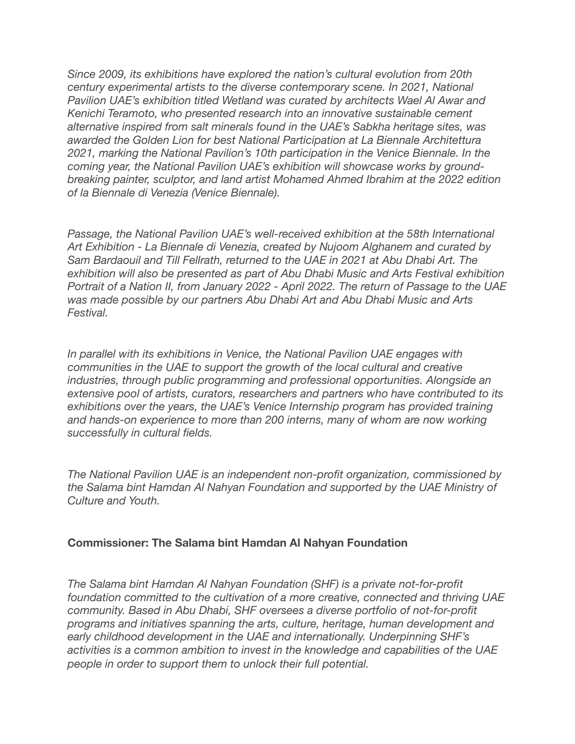*Since 2009, its exhibitions have explored the nation's cultural evolution from 20th century experimental artists to the diverse contemporary scene. In 2021, National Pavilion UAE's exhibition titled Wetland was curated by architects Wael Al Awar and Kenichi Teramoto, who presented research into an innovative sustainable cement alternative inspired from salt minerals found in the UAE's Sabkha heritage sites, was awarded the Golden Lion for best National Participation at La Biennale Architettura 2021, marking the National Pavilion's 10th participation in the Venice Biennale. In the coming year, the National Pavilion UAE's exhibition will showcase works by groundbreaking painter, sculptor, and land artist Mohamed Ahmed Ibrahim at the 2022 edition of la Biennale di Venezia (Venice Biennale).*

*Passage, the National Pavilion UAE's well-received exhibition at the 58th International Art Exhibition - La Biennale di Venezia, created by Nujoom Alghanem and curated by Sam Bardaouil and Till Fellrath, returned to the UAE in 2021 at Abu Dhabi Art. The exhibition will also be presented as part of Abu Dhabi Music and Arts Festival exhibition Portrait of a Nation II, from January 2022 - April 2022. The return of Passage to the UAE was made possible by our partners Abu Dhabi Art and Abu Dhabi Music and Arts Festival.*

*In parallel with its exhibitions in Venice, the National Pavilion UAE engages with communities in the UAE to support the growth of the local cultural and creative industries, through public programming and professional opportunities. Alongside an extensive pool of artists, curators, researchers and partners who have contributed to its exhibitions over the years, the UAE's Venice Internship program has provided training*  and hands-on experience to more than 200 interns, many of whom are now working *successfully in cultural fields.*

*The National Pavilion UAE is an independent non-profit organization, commissioned by the Salama bint Hamdan Al Nahyan Foundation and supported by the UAE Ministry of Culture and Youth.*

## **Commissioner: The Salama bint Hamdan Al Nahyan Foundation**

*The Salama bint Hamdan Al Nahyan Foundation (SHF) is a private not-for-profit foundation committed to the cultivation of a more creative, connected and thriving UAE community. Based in Abu Dhabi, SHF oversees a diverse portfolio of not-for-profit programs and initiatives spanning the arts, culture, heritage, human development and early childhood development in the UAE and internationally. Underpinning SHF's activities is a common ambition to invest in the knowledge and capabilities of the UAE people in order to support them to unlock their full potential.*